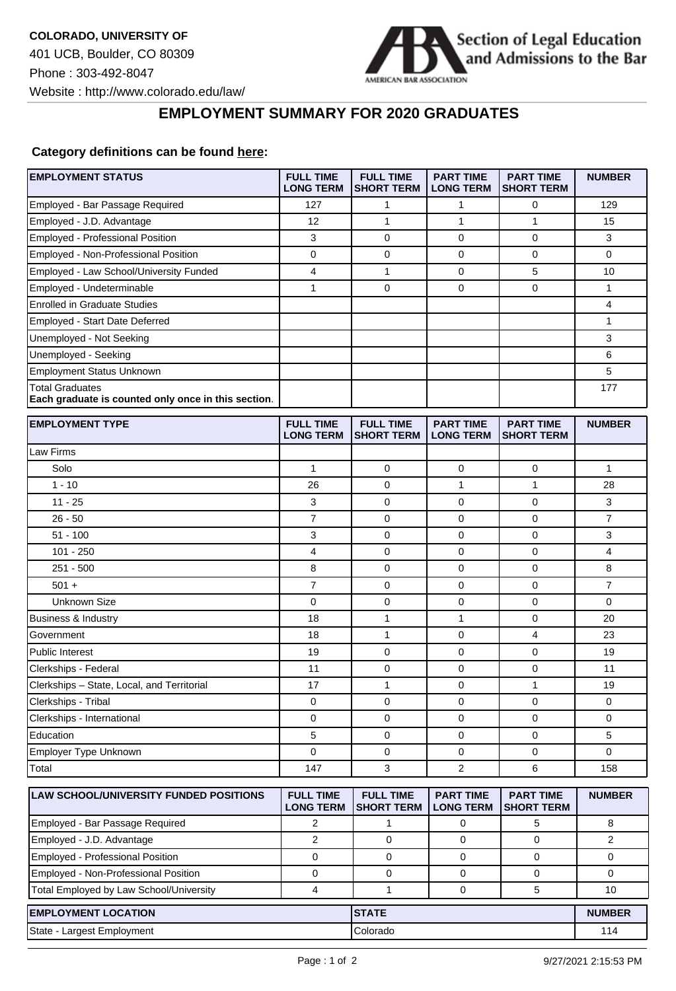

┑

## **EMPLOYMENT SUMMARY FOR 2020 GRADUATES**

## **Category definitions can be found [here:](https://www.americanbar.org/content/dam/aba/administrative/legal_education_and_admissions_to_the_bar/Questionnaires/employment-protocol-class-of-2020.pdf)**

| <b>EMPLOYMENT STATUS</b>                                                      | <b>FULL TIME</b><br><b>LONG TERM</b> | <b>FULL TIME</b><br><b>SHORT TERM</b> | <b>PART TIME</b><br><b>LONG TERM</b> | <b>PART TIME</b><br><b>SHORT TERM</b> | <b>NUMBER</b>  |
|-------------------------------------------------------------------------------|--------------------------------------|---------------------------------------|--------------------------------------|---------------------------------------|----------------|
| Employed - Bar Passage Required                                               | 127                                  | 1                                     | 1                                    | 0                                     | 129            |
| Employed - J.D. Advantage                                                     | 12                                   | $\mathbf{1}$                          | 1                                    | $\mathbf{1}$                          | 15             |
| Employed - Professional Position                                              | 3                                    | $\mathbf 0$                           | 0                                    | 0                                     | 3              |
| Employed - Non-Professional Position                                          | 0                                    | 0                                     | 0                                    | $\mathbf 0$                           | 0              |
| Employed - Law School/University Funded                                       | 4                                    | $\mathbf{1}$                          | 0                                    | 5                                     | 10             |
| Employed - Undeterminable                                                     | 1                                    | $\mathbf 0$                           | 0                                    | $\mathbf 0$                           | 1              |
| <b>Enrolled in Graduate Studies</b>                                           |                                      |                                       |                                      |                                       | 4              |
| <b>Employed - Start Date Deferred</b>                                         |                                      |                                       |                                      |                                       | 1              |
| Unemployed - Not Seeking                                                      |                                      |                                       |                                      |                                       | 3              |
| Unemployed - Seeking                                                          |                                      |                                       |                                      |                                       | 6              |
| <b>Employment Status Unknown</b>                                              |                                      |                                       |                                      |                                       | 5              |
| <b>Total Graduates</b><br>Each graduate is counted only once in this section. |                                      |                                       |                                      |                                       | 177            |
| <b>EMPLOYMENT TYPE</b>                                                        | <b>FULL TIME</b><br><b>LONG TERM</b> | <b>FULL TIME</b><br><b>SHORT TERM</b> | <b>PART TIME</b><br><b>LONG TERM</b> | <b>PART TIME</b><br><b>SHORT TERM</b> | <b>NUMBER</b>  |
| Law Firms                                                                     |                                      |                                       |                                      |                                       |                |
| Solo                                                                          | 1                                    | 0                                     | 0                                    | $\mathbf 0$                           | 1              |
| $1 - 10$                                                                      | 26                                   | $\mathbf 0$                           | 1                                    | $\mathbf{1}$                          | 28             |
| $11 - 25$                                                                     | 3                                    | $\mathbf 0$                           | 0                                    | $\mathbf 0$                           | 3              |
| $26 - 50$                                                                     | $\overline{7}$                       | $\mathbf 0$                           | 0                                    | 0                                     | $\overline{7}$ |
| $51 - 100$                                                                    | 3                                    | 0                                     | 0                                    | 0                                     | 3              |
| $101 - 250$                                                                   | 4                                    | $\mathbf 0$                           | 0                                    | $\mathbf 0$                           | 4              |
| $251 - 500$                                                                   | 8                                    | 0                                     | 0                                    | $\mathbf 0$                           | 8              |
| $501 +$                                                                       | $\overline{7}$                       | 0                                     | 0                                    | $\mathbf 0$                           | $\overline{7}$ |
| <b>Unknown Size</b>                                                           | 0                                    | 0                                     | 0                                    | 0                                     | 0              |
| Business & Industry                                                           | 18                                   | 1                                     | 1                                    | 0                                     | 20             |
| Government                                                                    | 18                                   | $\mathbf{1}$                          | 0                                    | 4                                     | 23             |
| <b>Public Interest</b>                                                        | 19                                   | $\mathbf 0$                           | 0                                    | $\mathbf 0$                           | 19             |
| Clerkships - Federal                                                          | 11                                   | 0                                     | 0                                    | 0                                     | 11             |
| Clerkships - State, Local, and Territorial                                    | 17                                   | $\mathbf{1}$                          | 0                                    | $\mathbf{1}$                          | 19             |
| Clerkships - Tribal                                                           | 0                                    | 0                                     | 0                                    | $\mathbf 0$                           | 0              |
| Clerkships - International                                                    | 0                                    | 0                                     | 0                                    | 0                                     | 0              |
| Education                                                                     | 5                                    | 0                                     | 0                                    | 0                                     | 5              |
| Employer Type Unknown                                                         | 0                                    | $\mathbf 0$                           | 0                                    | $\mathbf 0$                           | 0              |
| Total                                                                         | 147                                  | 3                                     | 2                                    | 6                                     | 158            |
| LAW SCHOOL/UNIVERSITY FUNDED POSITIONS                                        | <b>FULL TIME</b><br><b>LONG TERM</b> | <b>FULL TIME</b><br><b>SHORT TERM</b> | <b>PART TIME</b><br><b>LONG TERM</b> | <b>PART TIME</b><br><b>SHORT TERM</b> | <b>NUMBER</b>  |
| Employed - Bar Passage Required                                               | $\overline{2}$                       | $\mathbf{1}$                          | 0                                    | 5                                     | 8              |
| Employed - J.D. Advantage                                                     | 2                                    | 0                                     | 0                                    | 0                                     | 2              |
| <b>Employed - Professional Position</b>                                       | $\mathbf 0$                          | 0                                     | 0                                    | $\mathbf 0$                           | $\mathbf 0$    |
| Employed - Non-Professional Position                                          | 0                                    | 0                                     | 0                                    | 0                                     | 0              |
| Total Employed by Law School/University                                       | 4                                    | $\mathbf{1}$                          | $\mathbf 0$                          | 5                                     | 10             |
| <b>EMPLOYMENT LOCATION</b>                                                    |                                      | <b>STATE</b>                          |                                      |                                       | <b>NUMBER</b>  |
| State - Largest Employment                                                    |                                      | Colorado                              |                                      |                                       | 114            |
|                                                                               |                                      |                                       |                                      |                                       |                |